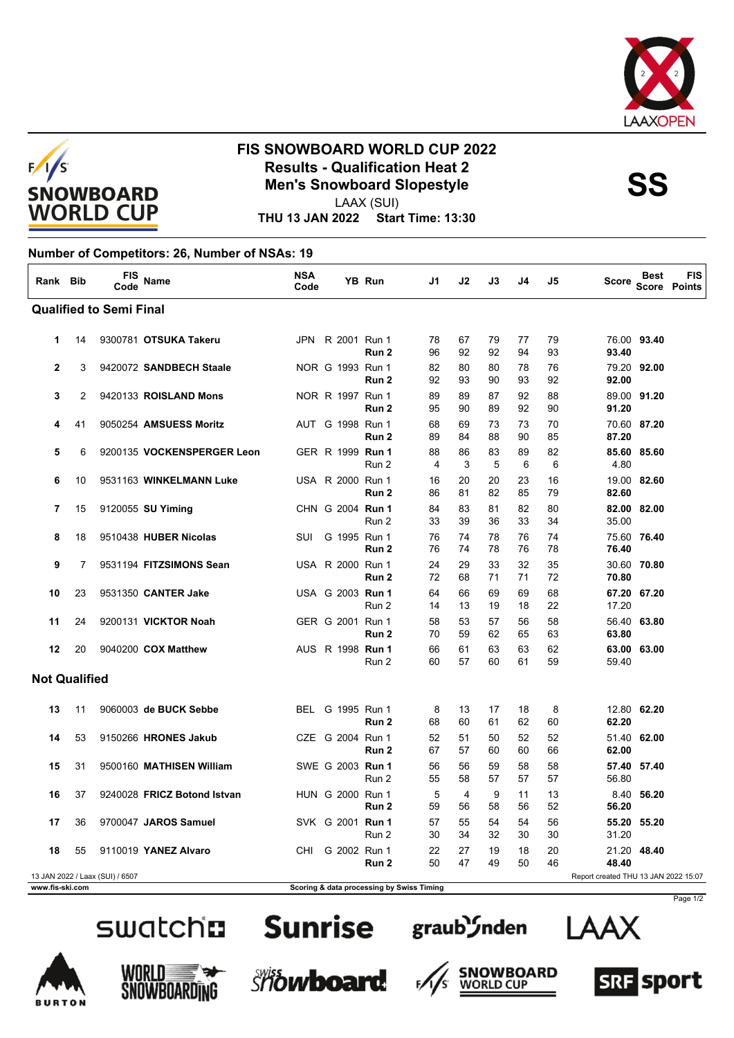



## **FIS SNOWBOARD WORLD CUP 2022 Results - Qualification Heat 2<br>
Men's Snowboard Slopestyle<br>
Men's Sonowboard Slopestyle**

LAAX (SUI)

**THU 13 JAN 2022 Start Time: 13:30**

## **Number of Competitors: 26, Number of NSAs: 19**

| Rank Bib                       |    | <b>FIS</b><br>Code              | Name                        | <b>NSA</b><br>Code |                  | YB Run                                    | J1       | J2       | J3       | J4       | J5       | Score                                | <b>Best</b> | <b>FIS</b><br>Score Points |
|--------------------------------|----|---------------------------------|-----------------------------|--------------------|------------------|-------------------------------------------|----------|----------|----------|----------|----------|--------------------------------------|-------------|----------------------------|
| <b>Qualified to Semi Final</b> |    |                                 |                             |                    |                  |                                           |          |          |          |          |          |                                      |             |                            |
| 1                              | 14 |                                 | 9300781 OTSUKA Takeru       |                    | JPN R 2001 Run 1 | Run 2                                     | 78<br>96 | 67<br>92 | 79<br>92 | 77<br>94 | 79<br>93 | 93.40                                | 76.00 93.40 |                            |
| $\mathbf{2}$                   | 3  |                                 | 9420072 SANDBECH Staale     |                    | NOR G 1993 Run 1 | Run 2                                     | 82<br>92 | 80<br>93 | 80<br>90 | 78<br>93 | 76<br>92 | 92.00                                | 79.20 92.00 |                            |
| 3                              | 2  |                                 | 9420133 ROISLAND Mons       |                    | NOR R 1997 Run 1 | Run 2                                     | 89<br>95 | 89<br>90 | 87<br>89 | 92<br>92 | 88<br>90 | 91.20                                | 89.00 91.20 |                            |
| 4                              | 41 |                                 | 9050254 AMSUESS Moritz      |                    | AUT G 1998 Run 1 | Run 2                                     | 68<br>89 | 69<br>84 | 73<br>88 | 73<br>90 | 70<br>85 | 87.20                                | 70.60 87.20 |                            |
| 5                              | 6  |                                 | 9200135 VOCKENSPERGER Leon  |                    | GER R 1999 Run 1 | Run 2                                     | 88<br>4  | 86<br>3  | 83<br>5  | 89<br>6  | 82<br>6  | 4.80                                 | 85.60 85.60 |                            |
| 6                              | 10 |                                 | 9531163 WINKELMANN Luke     |                    | USA R 2000 Run 1 | Run 2                                     | 16<br>86 | 20<br>81 | 20<br>82 | 23<br>85 | 16<br>79 | 82.60                                | 19.00 82.60 |                            |
| 7                              | 15 |                                 | 9120055 SU Yiming           |                    | CHN G 2004 Run 1 | Run 2                                     | 84<br>33 | 83<br>39 | 81<br>36 | 82<br>33 | 80<br>34 | 35.00                                | 82.00 82.00 |                            |
| 8                              | 18 |                                 | 9510438 HUBER Nicolas       | SUI                | G 1995 Run 1     | Run 2                                     | 76<br>76 | 74<br>74 | 78<br>78 | 76<br>76 | 74<br>78 | 76.40                                | 75.60 76.40 |                            |
| 9                              | 7  |                                 | 9531194 FITZSIMONS Sean     |                    | USA R 2000 Run 1 | Run 2                                     | 24<br>72 | 29<br>68 | 33<br>71 | 32<br>71 | 35<br>72 | 70.80                                | 30.60 70.80 |                            |
| 10                             | 23 |                                 | 9531350 CANTER Jake         |                    | USA G 2003 Run 1 | Run 2                                     | 64<br>14 | 66<br>13 | 69<br>19 | 69<br>18 | 68<br>22 | 17.20                                | 67.20 67.20 |                            |
| 11                             | 24 |                                 | 9200131 VICKTOR Noah        |                    | GER G 2001 Run 1 | Run 2                                     | 58<br>70 | 53<br>59 | 57<br>62 | 56<br>65 | 58<br>63 | 63.80                                | 56.40 63.80 |                            |
| 12                             | 20 |                                 | 9040200 COX Matthew         |                    | AUS R 1998 Run 1 | Run 2                                     | 66<br>60 | 61<br>57 | 63<br>60 | 63<br>61 | 62<br>59 | 59.40                                | 63.00 63.00 |                            |
| <b>Not Qualified</b>           |    |                                 |                             |                    |                  |                                           |          |          |          |          |          |                                      |             |                            |
| 13                             | 11 |                                 | 9060003 de BUCK Sebbe       |                    | BEL G 1995 Run 1 | Run 2                                     | 8<br>68  | 13<br>60 | 17<br>61 | 18<br>62 | 8<br>60  | 62.20                                | 12.80 62.20 |                            |
| 14                             | 53 |                                 | 9150266 HRONES Jakub        |                    | CZE G 2004 Run 1 | Run 2                                     | 52<br>67 | 51<br>57 | 50<br>60 | 52<br>60 | 52<br>66 | 62.00                                | 51.40 62.00 |                            |
| 15                             | 31 |                                 | 9500160 MATHISEN William    |                    | SWE G 2003 Run 1 | Run 2                                     | 56<br>55 | 56<br>58 | 59<br>57 | 58<br>57 | 58<br>57 | 56.80                                | 57.40 57.40 |                            |
| 16                             | 37 |                                 | 9240028 FRICZ Botond Istvan |                    | HUN G 2000 Run 1 | Run 2                                     | 5<br>59  | 4<br>56  | 9<br>58  | 11<br>56 | 13<br>52 | 56.20                                | 8.40 56.20  |                            |
| 17                             | 36 |                                 | 9700047 JAROS Samuel        |                    | SVK G 2001 Run 1 | Run 2                                     | 57<br>30 | 55<br>34 | 54<br>32 | 54<br>30 | 56<br>30 | 31.20                                | 55.20 55.20 |                            |
| 18                             | 55 |                                 | 9110019 YANEZ Alvaro        | CHI                | G 2002 Run 1     | Run 2                                     | 22<br>50 | 27<br>47 | 19<br>49 | 18<br>50 | 20<br>46 | 48.40                                | 21.20 48.40 |                            |
| www.fis-ski.com                |    | 13 JAN 2022 / Laax (SUI) / 6507 |                             |                    |                  | Scoring & data processing by Swiss Timing |          |          |          |          |          | Report created THU 13 JAN 2022 15:07 |             |                            |





 $F_{\ell}$ 













Page 1/2